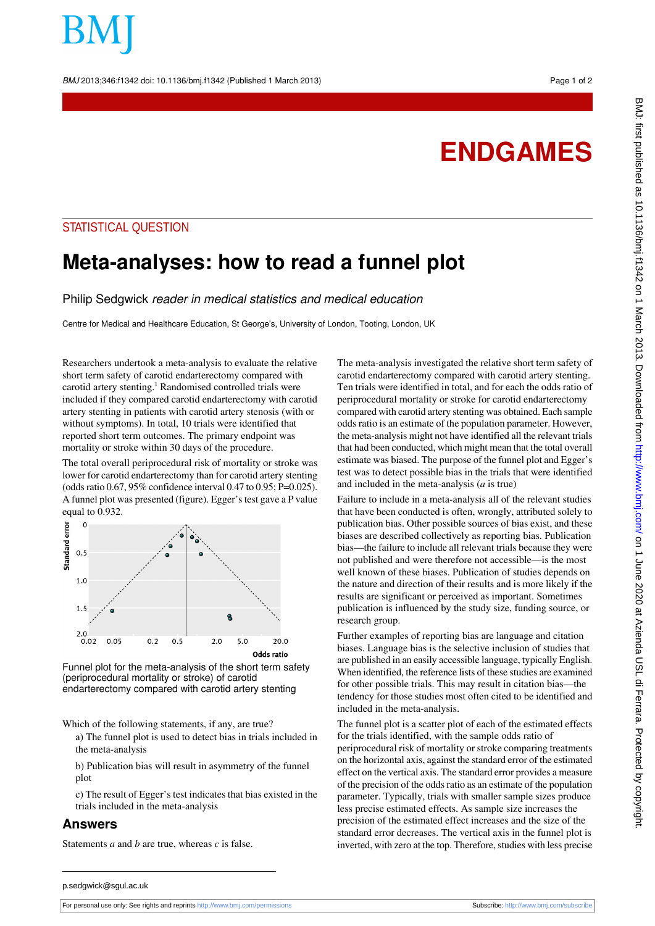BMJ 2013;346:f1342 doi: 10.1136/bmj.f1342 (Published 1 March 2013) Page 1 of 2

## **ENDGAMES**

## STATISTICAL QUESTION

## **Meta-analyses: how to read a funnel plot**

Philip Sedgwick reader in medical statistics and medical education

Centre for Medical and Healthcare Education, St George's, University of London, Tooting, London, UK

Researchers undertook a meta-analysis to evaluate the relative short term safety of carotid endarterectomy compared with carotid artery stenting.<sup>1</sup> Randomised controlled trials were included if they compared carotid endarterectomy with carotid artery stenting in patients with carotid artery stenosis (with or without symptoms). In total, 10 trials were identified that reported short term outcomes. The primary endpoint was mortality or stroke within 30 days of the procedure.

The total overall periprocedural risk of mortality or stroke was lower for carotid endarterectomy than for carotid artery stenting (odds ratio 0.67, 95% confidence interval 0.47 to 0.95; P=0.025). A funnel plot was presented (figure). Egger's test gave a P value



Funnel plot for the meta-analysis of the short term safety (periprocedural mortality or stroke) of carotid endarterectomy compared with carotid artery stenting

Which of the following statements, if any, are true?

a) The funnel plot is used to detect bias in trials included in the meta-analysis

b) Publication bias will result in asymmetry of the funnel plot

c) The result of Egger's test indicates that bias existed in the trials included in the meta-analysis

## **Answers**

Statements *a* and *b* are true, whereas *c* is false.

The meta-analysis investigated the relative short term safety of carotid endarterectomy compared with carotid artery stenting. Ten trials were identified in total, and for each the odds ratio of periprocedural mortality or stroke for carotid endarterectomy compared with carotid artery stenting was obtained. Each sample odds ratio is an estimate of the population parameter. However, the meta-analysis might not have identified all the relevant trials that had been conducted, which might mean that the total overall estimate was biased. The purpose of the funnel plot and Egger's test was to detect possible bias in the trials that were identified and included in the meta-analysis (*a* is true)

Failure to include in a meta-analysis all of the relevant studies that have been conducted is often, wrongly, attributed solely to publication bias. Other possible sources of bias exist, and these biases are described collectively as reporting bias. Publication bias—the failure to include all relevant trials because they were not published and were therefore not accessible—is the most well known of these biases. Publication of studies depends on the nature and direction of their results and is more likely if the results are significant or perceived as important. Sometimes publication is influenced by the study size, funding source, or research group.

Further examples of reporting bias are language and citation biases. Language bias is the selective inclusion of studies that are published in an easily accessible language, typically English. When identified, the reference lists of these studies are examined for other possible trials. This may result in citation bias—the tendency for those studies most often cited to be identified and included in the meta-analysis.

The funnel plot is a scatter plot of each of the estimated effects for the trials identified, with the sample odds ratio of periprocedural risk of mortality or stroke comparing treatments on the horizontal axis, against the standard error of the estimated effect on the vertical axis. The standard error provides a measure of the precision of the odds ratio as an estimate of the population parameter. Typically, trials with smaller sample sizes produce less precise estimated effects. As sample size increases the precision of the estimated effect increases and the size of the standard error decreases. The vertical axis in the funnel plot is inverted, with zero at the top. Therefore, studies with less precise

p.sedgwick@sgul.ac.uk